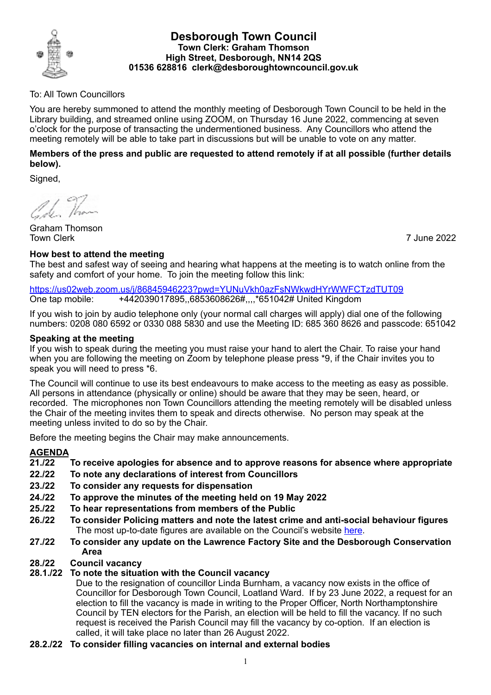

## **Desborough Town Council Town Clerk: Graham Thomson High Street, Desborough, NN14 2QS 01536 628816 clerk@desboroughtowncouncil.gov.uk**

# To: All Town Councillors

You are hereby summoned to attend the monthly meeting of Desborough Town Council to be held in the Library building, and streamed online using ZOOM, on Thursday 16 June 2022, commencing at seven o'clock for the purpose of transacting the undermentioned business. Any Councillors who attend the meeting remotely will be able to take part in discussions but will be unable to vote on any matter.

# **Members of the press and public are requested to attend remotely if at all possible (further details below).**

Signed,

1. Than

Graham Thomson Town Clerk 7 June 2022

# **How best to attend the meeting**

The best and safest way of seeing and hearing what happens at the meeting is to watch online from the safety and comfort of your home. To join the meeting follow this link:

<https://us02web.zoom.us/j/86845946223?pwd=YUNuVkh0azFsNWkwdHYrWWFCTzdTUT09> One tap mobile: +442039017895,,6853608626#,,,,\*651042# United Kingdom

If you wish to join by audio telephone only (your normal call charges will apply) dial one of the following numbers: 0208 080 6592 or 0330 088 5830 and use the Meeting ID: 685 360 8626 and passcode: 651042

# **Speaking at the meeting**

If you wish to speak during the meeting you must raise your hand to alert the Chair. To raise your hand when you are following the meeting on Zoom by telephone please press \*9, if the Chair invites you to speak you will need to press \*6.

The Council will continue to use its best endeavours to make access to the meeting as easy as possible. All persons in attendance (physically or online) should be aware that they may be seen, heard, or recorded. The microphones non Town Councillors attending the meeting remotely will be disabled unless the Chair of the meeting invites them to speak and directs otherwise. No person may speak at the meeting unless invited to do so by the Chair.

Before the meeting begins the Chair may make announcements.

# **AGENDA**

- **21./22 To receive apologies for absence and to approve reasons for absence where appropriate**
- **22./22 To note any declarations of interest from Councillors**
- **23./22 To consider any requests for dispensation**
- **24./22 To approve the minutes of the meeting held on 19 May 2022**
- **25./22 To hear representations from members of the Public**
- **26./22 To consider Policing matters and note the latest crime and anti-social behaviour figures** The most up-to-date figures are available on the Council's website [here](https://desboroughtowncouncil.gov.uk/crime-reports/).
- **27./22 To consider any update on the Lawrence Factory Site and the Desborough Conservation Area**

#### **28./22 Council vacancy 28.1./22 To note the situation with the Council vacancy**

Due to the resignation of councillor Linda Burnham, a vacancy now exists in the office of Councillor for Desborough Town Council, Loatland Ward. If by 23 June 2022, a request for an election to fill the vacancy is made in writing to the Proper Officer, North Northamptonshire Council by TEN electors for the Parish, an election will be held to fill the vacancy. If no such request is received the Parish Council may fill the vacancy by co-option. If an election is called, it will take place no later than 26 August 2022.

# **28.2./22 To consider filling vacancies on internal and external bodies**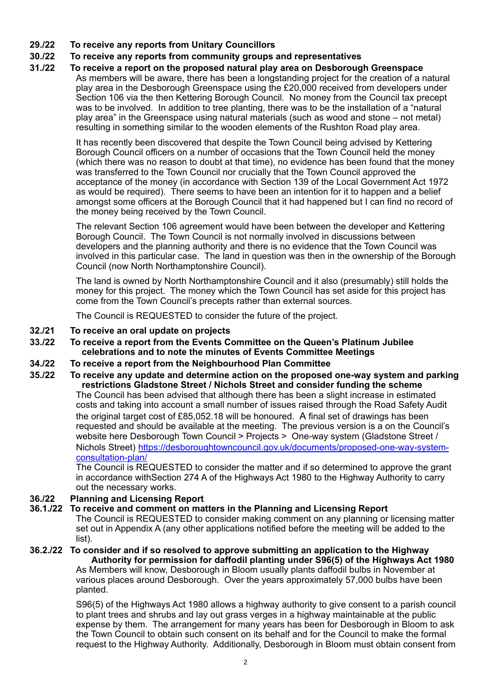**29./22 To receive any reports from Unitary Councillors**

# **30./22 To receive any reports from community groups and representatives**

#### **31./22 To receive a report on the proposed natural play area on Desborough Greenspace** As members will be aware, there has been a longstanding project for the creation of a natural play area in the Desborough Greenspace using the £20,000 received from developers under Section 106 via the then Kettering Borough Council. No money from the Council tax precept was to be involved. In addition to tree planting, there was to be the installation of a "natural play area" in the Greenspace using natural materials (such as wood and stone – not metal)

resulting in something similar to the wooden elements of the Rushton Road play area.

It has recently been discovered that despite the Town Council being advised by Kettering Borough Council officers on a number of occasions that the Town Council held the money (which there was no reason to doubt at that time), no evidence has been found that the money was transferred to the Town Council nor crucially that the Town Council approved the acceptance of the money (in accordance with Section 139 of the Local Government Act 1972 as would be required). There seems to have been an intention for it to happen and a belief amongst some officers at the Borough Council that it had happened but I can find no record of the money being received by the Town Council.

The relevant Section 106 agreement would have been between the developer and Kettering Borough Council. The Town Council is not normally involved in discussions between developers and the planning authority and there is no evidence that the Town Council was involved in this particular case. The land in question was then in the ownership of the Borough Council (now North Northamptonshire Council).

The land is owned by North Northamptonshire Council and it also (presumably) still holds the money for this project. The money which the Town Council has set aside for this project has come from the Town Council's precepts rather than external sources.

The Council is REQUESTED to consider the future of the project.

- **32./21 To receive an oral update on projects**
- **33./22 To receive a report from the Events Committee on the Queen's Platinum Jubilee celebrations and to note the minutes of Events Committee Meetings**
- **34./22 To receive a report from the Neighbourhood Plan Committee**
- **35./22 To receive any update and determine action on the proposed one-way system and parking restrictions Gladstone Street / Nichols Street and consider funding the scheme** The Council has been advised that although there has been a slight increase in estimated costs and taking into account a small number of issues raised through the Road Safety Audit the original target cost of £85,052.18 will be honoured. A final set of drawings has been requested and should be available at the meeting. The previous version is a on the Council's website here Desborough Town Council > Projects > One-way system (Gladstone Street / Nichols Street) [https://desboroughtowncouncil.gov.uk/documents/proposed-one-way-system](https://desboroughtowncouncil.gov.uk/documents/proposed-one-way-system-consultation-plan/)[consultation-plan/](https://desboroughtowncouncil.gov.uk/documents/proposed-one-way-system-consultation-plan/)

The Council is REQUESTED to consider the matter and if so determined to approve the grant in accordance withSection 274 A of the Highways Act 1980 to the Highway Authority to carry out the necessary works.

# **36./22 Planning and Licensing Report**

# **36.1./22 To receive and comment on matters in the Planning and Licensing Report**

The Council is REQUESTED to consider making comment on any planning or licensing matter set out in Appendix A (any other applications notified before the meeting will be added to the list).

# **36.2./22 To consider and if so resolved to approve submitting an application to the Highway Authority for permission for daffodil planting under S96(5) of the Highways Act 1980**

As Members will know, Desborough in Bloom usually plants daffodil bulbs in November at various places around Desborough. Over the years approximately 57,000 bulbs have been planted.

S96(5) of the Highways Act 1980 allows a highway authority to give consent to a parish council to plant trees and shrubs and lay out grass verges in a highway maintainable at the public expense by them. The arrangement for many years has been for Desborough in Bloom to ask the Town Council to obtain such consent on its behalf and for the Council to make the formal request to the Highway Authority. Additionally, Desborough in Bloom must obtain consent from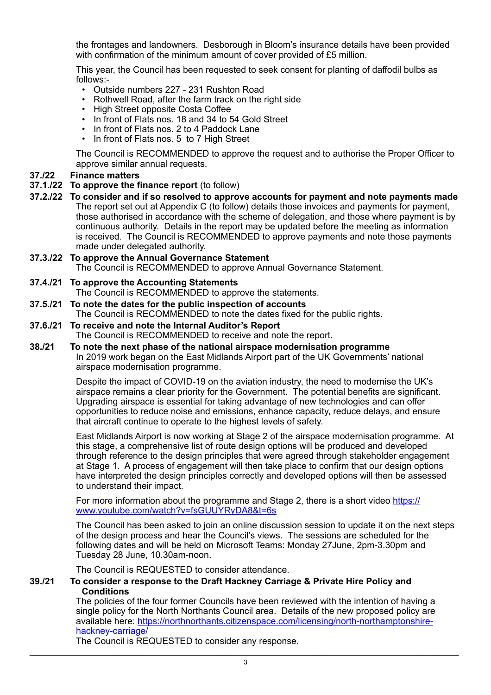the frontages and landowners. Desborough in Bloom's insurance details have been provided with confirmation of the minimum amount of cover provided of £5 million.

This year, the Council has been requested to seek consent for planting of daffodil bulbs as follows:-

- Outside numbers 227 231 Rushton Road
- Rothwell Road, after the farm track on the right side
- High Street opposite Costa Coffee
- In front of Flats nos. 18 and 34 to 54 Gold Street
- In front of Flats nos. 2 to 4 Paddock Lane
- In front of Flats nos. 5 to 7 High Street

The Council is RECOMMENDED to approve the request and to authorise the Proper Officer to approve similar annual requests.

## **37./22 Finance matters**

- **37.1./22 To approve the finance report** (to follow)
- **37.2./22 To consider and if so resolved to approve accounts for payment and note payments made** The report set out at Appendix C (to follow) details those invoices and payments for payment, those authorised in accordance with the scheme of delegation, and those where payment is by continuous authority. Details in the report may be updated before the meeting as information is received. The Council is RECOMMENDED to approve payments and note those payments made under delegated authority.

# **37.3./22 To approve the Annual Governance Statement**

The Council is RECOMMENDED to approve Annual Governance Statement.

#### **37.4./21 To approve the Accounting Statements**

The Council is RECOMMENDED to approve the statements.

- **37.5./21 To note the dates for the public inspection of accounts**
	- The Council is RECOMMENDED to note the dates fixed for the public rights.

# **37.6./21 To receive and note the Internal Auditor's Report**

The Council is RECOMMENDED to receive and note the report.

**38./21 To note the next phase of the national airspace modernisation programme** In 2019 work began on the East Midlands Airport part of the UK Governments' national airspace modernisation programme.

> Despite the impact of COVID-19 on the aviation industry, the need to modernise the UK's airspace remains a clear priority for the Government. The potential benefits are significant. Upgrading airspace is essential for taking advantage of new technologies and can offer opportunities to reduce noise and emissions, enhance capacity, reduce delays, and ensure that aircraft continue to operate to the highest levels of safety.

East Midlands Airport is now working at Stage 2 of the airspace modernisation programme. At this stage, a comprehensive list of route design options will be produced and developed through reference to the design principles that were agreed through stakeholder engagement at Stage 1. A process of engagement will then take place to confirm that our design options have interpreted the design principles correctly and developed options will then be assessed to understand their impact.

For more information about the programme and Stage 2, there is a short video [https://](https://www.youtube.com/watch?v=fsGUUYRyDA8&t=6s) [www.youtube.com/watch?v=fsGUUYRyDA8&t=6s](https://www.youtube.com/watch?v=fsGUUYRyDA8&t=6s)

The Council has been asked to join an online discussion session to update it on the next steps of the design process and hear the Council's views. The sessions are scheduled for the following dates and will be held on Microsoft Teams: Monday 27June, 2pm-3.30pm and Tuesday 28 June, 10.30am-noon.

The Council is REQUESTED to consider attendance.

### **39./21 To consider a response to the Draft Hackney Carriage & Private Hire Policy and Conditions**

The policies of the four former Councils have been reviewed with the intention of having a single policy for the North Northants Council area. Details of the new proposed policy are [available here: https://northnorthants.citizenspace.com/licensing/north-northamptonshire](https://northnorthants.citizenspace.com/licensing/north-northamptonshire-hackney-carriage/)[hackney-carriage/](https://northnorthants.citizenspace.com/licensing/north-northamptonshire-hackney-carriage/)

The Council is REQUESTED to consider any response.  $\_$  ,  $\_$  ,  $\_$  ,  $\_$  ,  $\_$  ,  $\_$  ,  $\_$  ,  $\_$  ,  $\_$  ,  $\_$  ,  $\_$  ,  $\_$  ,  $\_$  ,  $\_$  ,  $\_$  ,  $\_$  ,  $\_$  ,  $\_$  ,  $\_$  ,  $\_$  ,  $\_$  ,  $\_$  ,  $\_$  ,  $\_$  ,  $\_$  ,  $\_$  ,  $\_$  ,  $\_$  ,  $\_$  ,  $\_$  ,  $\_$  ,  $\_$  ,  $\_$  ,  $\_$  ,  $\_$  ,  $\_$  ,  $\_$  ,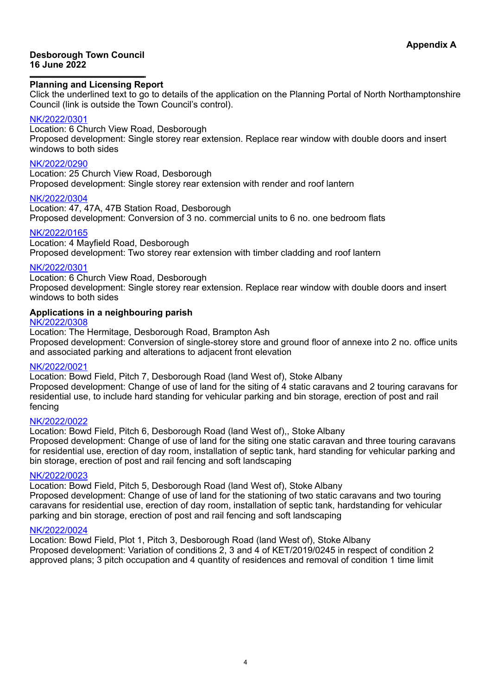#### **Desborough Town Council 16 June 2022**

## **Planning and Licensing Report**

Click the underlined text to go to details of the application on the Planning Portal of North Northamptonshire Council (link is outside the Town Council's control).

### [NK/2022/0301](https://www.kettering.gov.uk/planningApplication/131897)

Location: 6 Church View Road, Desborough Proposed development: Single storey rear extension. Replace rear window with double doors and insert windows to both sides

## [NK/2022/0290](https://www.kettering.gov.uk/planningApplication/131876)

Location: 25 Church View Road, Desborough Proposed development: Single storey rear extension with render and roof lantern

### [NK/2022/0304](https://www.kettering.gov.uk/planningApplication/131881)

Location: 47, 47A, 47B Station Road, Desborough Proposed development: Conversion of 3 no. commercial units to 6 no. one bedroom flats

### [NK/2022/0165](https://www.kettering.gov.uk/planningApplication/131905)

Location: 4 Mayfield Road, Desborough Proposed development: Two storey rear extension with timber cladding and roof lantern

### [NK/2022/0301](https://www.kettering.gov.uk/planningApplication/131897)

Location: 6 Church View Road, Desborough Proposed development: Single storey rear extension. Replace rear window with double doors and insert windows to both sides

### **Applications in a neighbouring parish**

### [NK/2022/0308](https://www.kettering.gov.uk/planningApplication/131910)

Location: The Hermitage, Desborough Road, Brampton Ash Proposed development: Conversion of single-storey store and ground floor of annexe into 2 no. office units and associated parking and alterations to adjacent front elevation

# [NK/2022/0021](https://www.kettering.gov.uk/planningApplication/131935)

Location: Bowd Field, Pitch 7, Desborough Road (land West of), Stoke Albany Proposed development: Change of use of land for the siting of 4 static caravans and 2 touring caravans for residential use, to include hard standing for vehicular parking and bin storage, erection of post and rail fencing

#### [NK/2022/0022](https://www.kettering.gov.uk/planningApplication/131936)

Location: Bowd Field, Pitch 6, Desborough Road (land West of)., Stoke Albany Proposed development: Change of use of land for the siting one static caravan and three touring caravans for residential use, erection of day room, installation of septic tank, hard standing for vehicular parking and bin storage, erection of post and rail fencing and soft landscaping

# [NK/2022/0023](https://www.kettering.gov.uk/planningApplication/131939)

Location: Bowd Field, Pitch 5, Desborough Road (land West of), Stoke Albany

Proposed development: Change of use of land for the stationing of two static caravans and two touring caravans for residential use, erection of day room, installation of septic tank, hardstanding for vehicular parking and bin storage, erection of post and rail fencing and soft landscaping

#### [NK/2022/0024](https://www.kettering.gov.uk/planningApplication/131940)

Location: Bowd Field, Plot 1, Pitch 3, Desborough Road (land West of), Stoke Albany Proposed development: Variation of conditions 2, 3 and 4 of KET/2019/0245 in respect of condition 2 approved plans; 3 pitch occupation and 4 quantity of residences and removal of condition 1 time limit